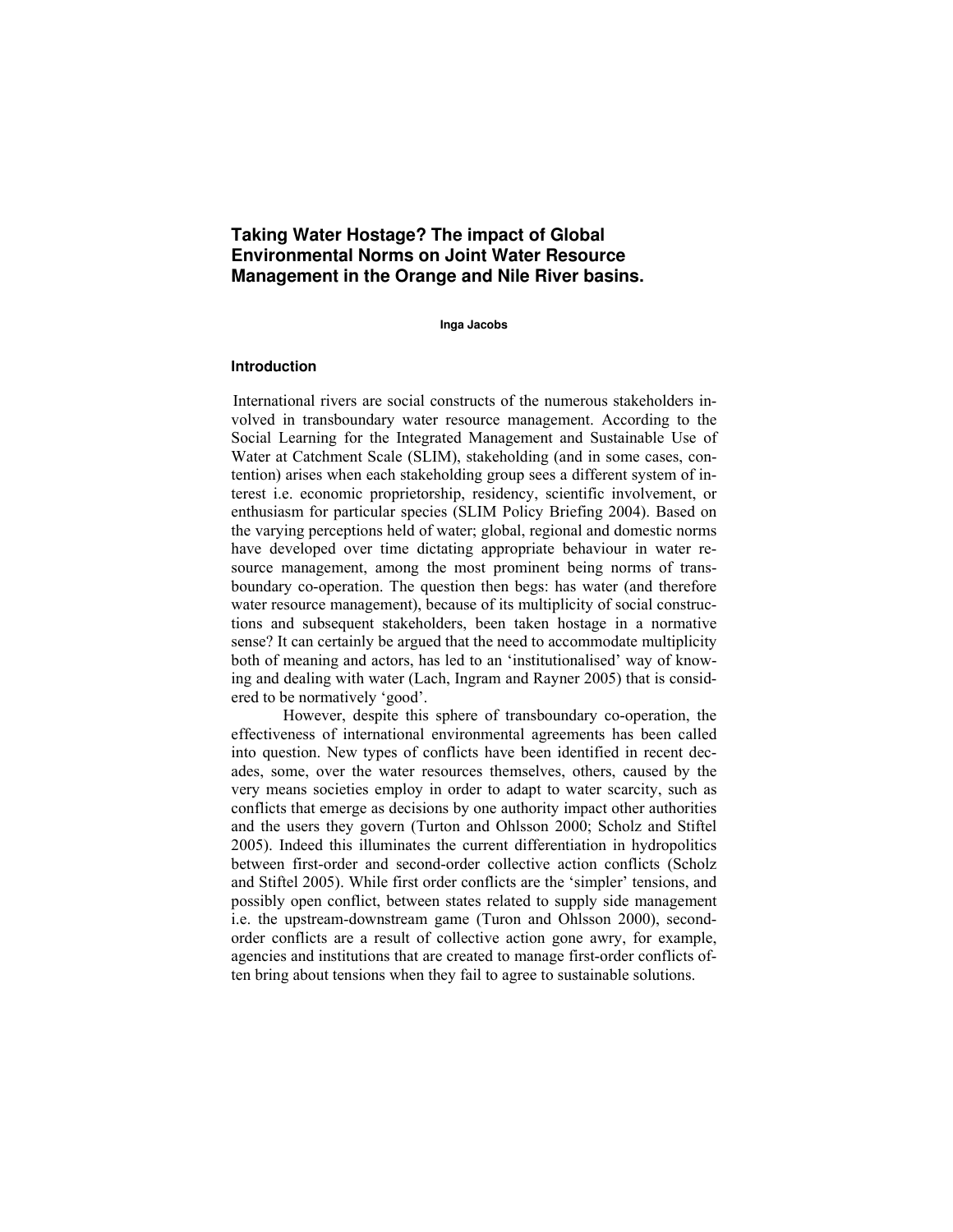# **Taking Water Hostage? The impact of Global Environmental Norms on Joint Water Resource Management in the Orange and Nile River basins.**

**Inga Jacobs**

#### **Introduction**

International rivers are social constructs of the numerous stakeholders involved in transboundary water resource management. According to the Social Learning for the Integrated Management and Sustainable Use of Water at Catchment Scale (SLIM), stakeholding (and in some cases, contention) arises when each stakeholding group sees a different system of interest i.e. economic proprietorship, residency, scientific involvement, or enthusiasm for particular species (SLIM Policy Briefing 2004). Based on the varying perceptions held of water; global, regional and domestic norms have developed over time dictating appropriate behaviour in water resource management, among the most prominent being norms of transboundary co-operation. The question then begs: has water (and therefore water resource management), because of its multiplicity of social constructions and subsequent stakeholders, been taken hostage in a normative sense? It can certainly be argued that the need to accommodate multiplicity both of meaning and actors, has led to an 'institutionalised' way of knowing and dealing with water (Lach, Ingram and Rayner 2005) that is considered to be normatively 'good'.

 However, despite this sphere of transboundary co-operation, the effectiveness of international environmental agreements has been called into question. New types of conflicts have been identified in recent decades, some, over the water resources themselves, others, caused by the very means societies employ in order to adapt to water scarcity, such as conflicts that emerge as decisions by one authority impact other authorities and the users they govern (Turton and Ohlsson 2000; Scholz and Stiftel 2005). Indeed this illuminates the current differentiation in hydropolitics between first-order and second-order collective action conflicts (Scholz and Stiftel 2005). While first order conflicts are the 'simpler' tensions, and possibly open conflict, between states related to supply side management i.e. the upstream-downstream game (Turon and Ohlsson 2000), secondorder conflicts are a result of collective action gone awry, for example, agencies and institutions that are created to manage first-order conflicts often bring about tensions when they fail to agree to sustainable solutions.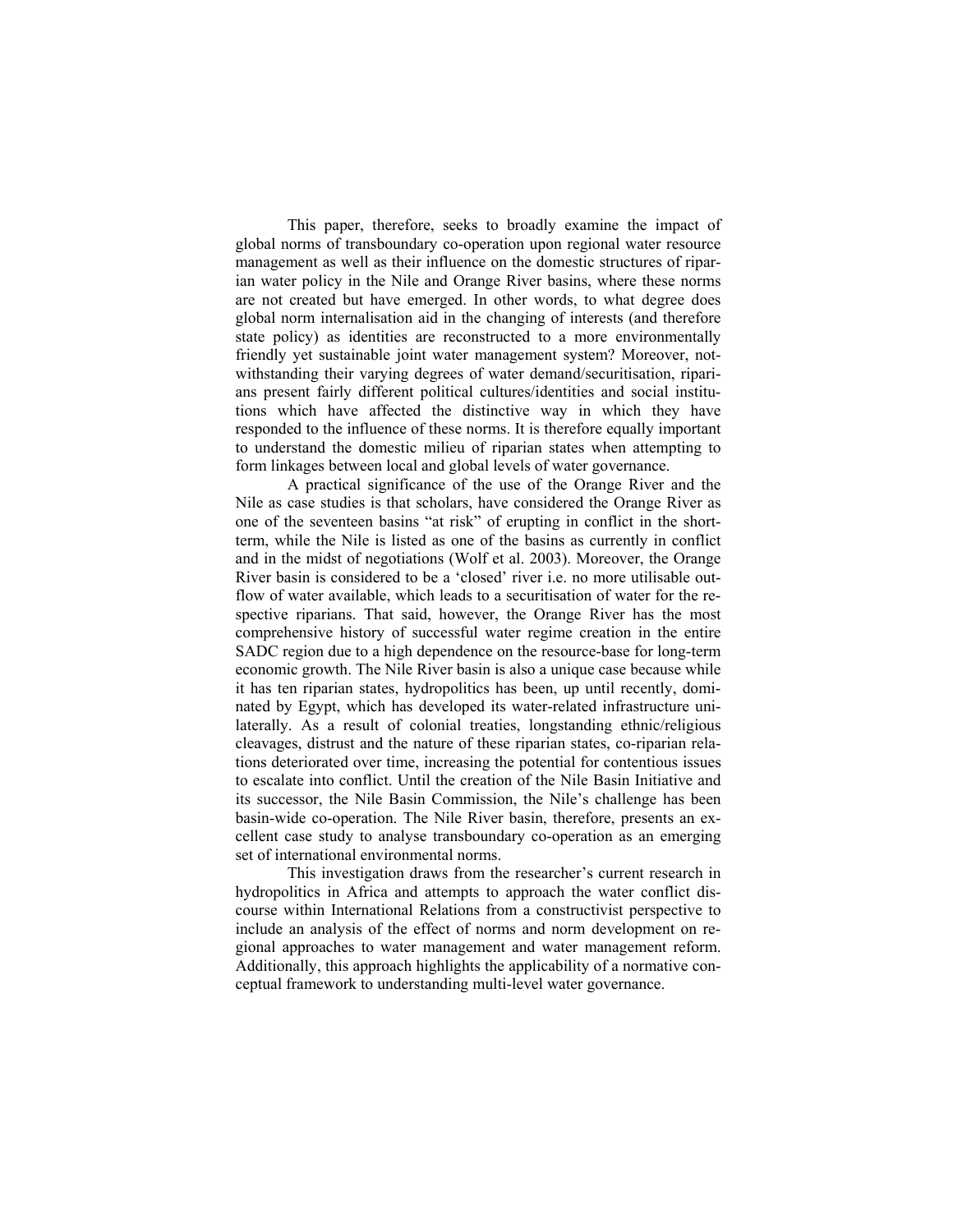This paper, therefore, seeks to broadly examine the impact of global norms of transboundary co-operation upon regional water resource management as well as their influence on the domestic structures of riparian water policy in the Nile and Orange River basins, where these norms are not created but have emerged. In other words, to what degree does global norm internalisation aid in the changing of interests (and therefore state policy) as identities are reconstructed to a more environmentally friendly yet sustainable joint water management system? Moreover, notwithstanding their varying degrees of water demand/securitisation, riparians present fairly different political cultures/identities and social institutions which have affected the distinctive way in which they have responded to the influence of these norms. It is therefore equally important to understand the domestic milieu of riparian states when attempting to form linkages between local and global levels of water governance.

 A practical significance of the use of the Orange River and the Nile as case studies is that scholars, have considered the Orange River as one of the seventeen basins "at risk" of erupting in conflict in the shortterm, while the Nile is listed as one of the basins as currently in conflict and in the midst of negotiations (Wolf et al. 2003). Moreover, the Orange River basin is considered to be a 'closed' river i.e. no more utilisable outflow of water available, which leads to a securitisation of water for the respective riparians. That said, however, the Orange River has the most comprehensive history of successful water regime creation in the entire SADC region due to a high dependence on the resource-base for long-term economic growth. The Nile River basin is also a unique case because while it has ten riparian states, hydropolitics has been, up until recently, dominated by Egypt, which has developed its water-related infrastructure unilaterally. As a result of colonial treaties, longstanding ethnic/religious cleavages, distrust and the nature of these riparian states, co-riparian relations deteriorated over time, increasing the potential for contentious issues to escalate into conflict. Until the creation of the Nile Basin Initiative and its successor, the Nile Basin Commission, the Nile's challenge has been basin-wide co-operation. The Nile River basin, therefore, presents an excellent case study to analyse transboundary co-operation as an emerging set of international environmental norms.

 This investigation draws from the researcher's current research in hydropolitics in Africa and attempts to approach the water conflict discourse within International Relations from a constructivist perspective to include an analysis of the effect of norms and norm development on regional approaches to water management and water management reform. Additionally, this approach highlights the applicability of a normative conceptual framework to understanding multi-level water governance.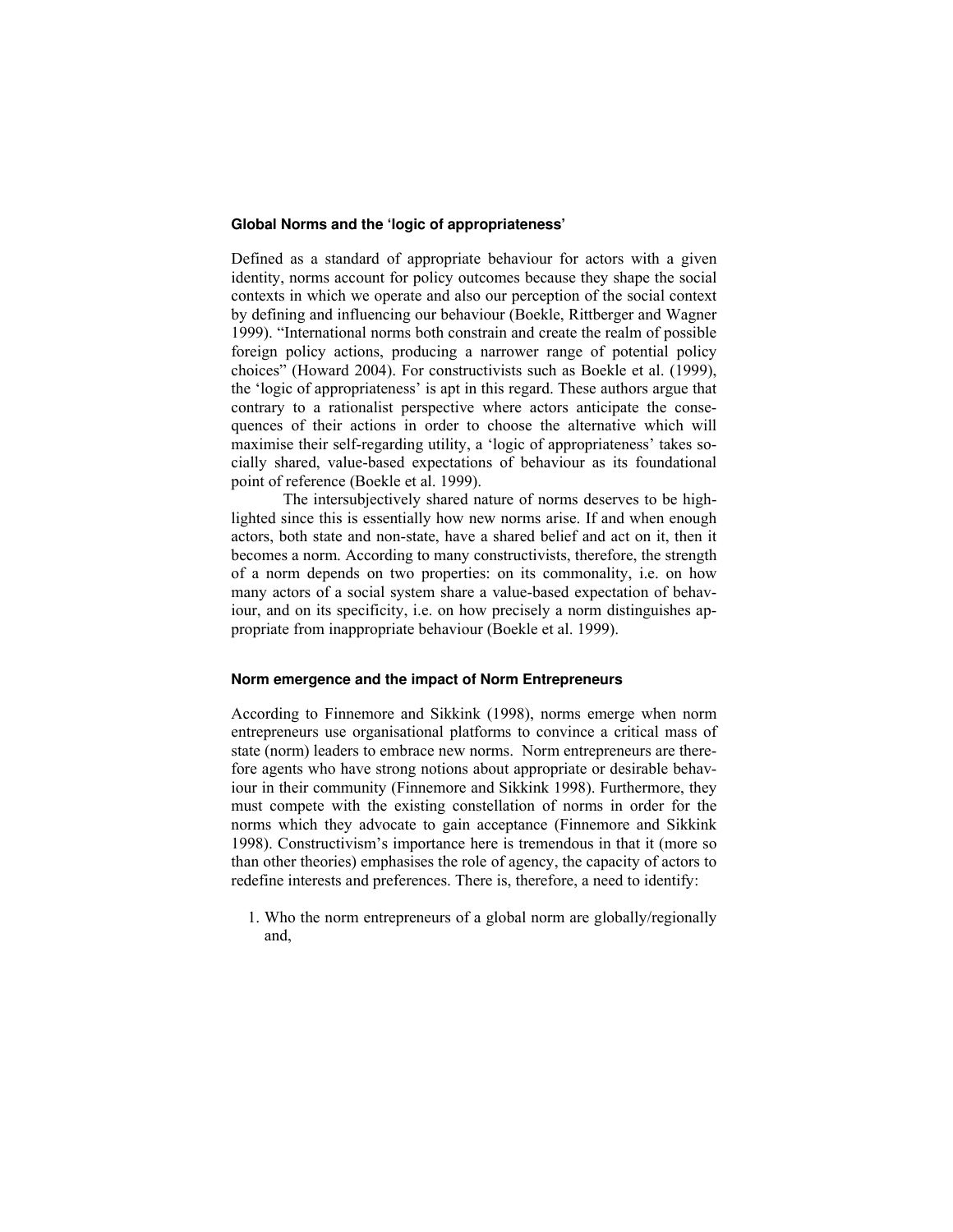### **Global Norms and the 'logic of appropriateness'**

Defined as a standard of appropriate behaviour for actors with a given identity, norms account for policy outcomes because they shape the social contexts in which we operate and also our perception of the social context by defining and influencing our behaviour (Boekle, Rittberger and Wagner 1999). "International norms both constrain and create the realm of possible foreign policy actions, producing a narrower range of potential policy choices" (Howard 2004). For constructivists such as Boekle et al. (1999), the 'logic of appropriateness' is apt in this regard. These authors argue that contrary to a rationalist perspective where actors anticipate the consequences of their actions in order to choose the alternative which will maximise their self-regarding utility, a 'logic of appropriateness' takes socially shared, value-based expectations of behaviour as its foundational point of reference (Boekle et al. 1999).

The intersubjectively shared nature of norms deserves to be highlighted since this is essentially how new norms arise. If and when enough actors, both state and non-state, have a shared belief and act on it, then it becomes a norm. According to many constructivists, therefore, the strength of a norm depends on two properties: on its commonality, i.e. on how many actors of a social system share a value-based expectation of behaviour, and on its specificity, i.e. on how precisely a norm distinguishes appropriate from inappropriate behaviour (Boekle et al. 1999).

## **Norm emergence and the impact of Norm Entrepreneurs**

According to Finnemore and Sikkink (1998), norms emerge when norm entrepreneurs use organisational platforms to convince a critical mass of state (norm) leaders to embrace new norms. Norm entrepreneurs are therefore agents who have strong notions about appropriate or desirable behaviour in their community (Finnemore and Sikkink 1998). Furthermore, they must compete with the existing constellation of norms in order for the norms which they advocate to gain acceptance (Finnemore and Sikkink 1998). Constructivism's importance here is tremendous in that it (more so than other theories) emphasises the role of agency, the capacity of actors to redefine interests and preferences. There is, therefore, a need to identify:

1. Who the norm entrepreneurs of a global norm are globally/regionally and,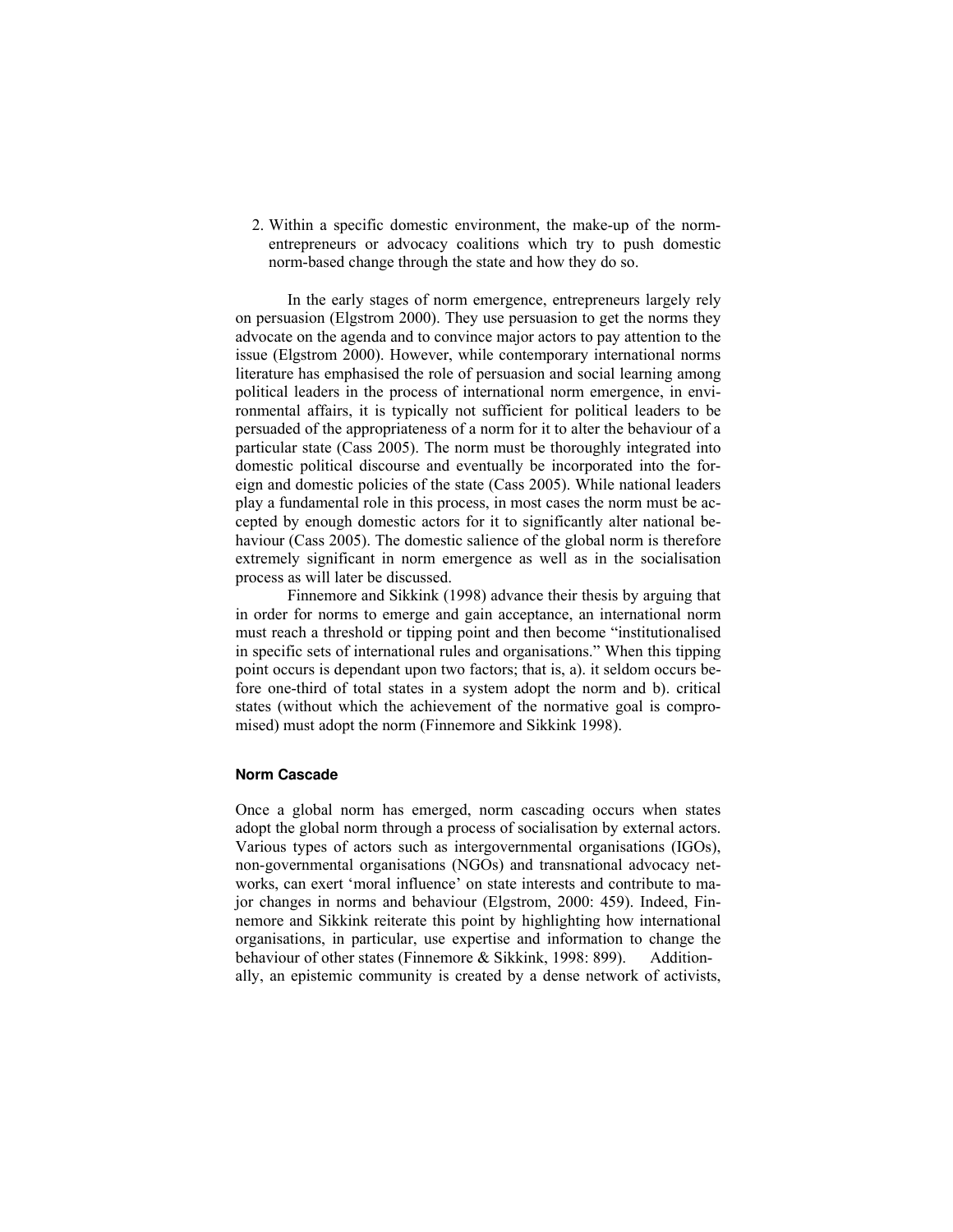2. Within a specific domestic environment, the make-up of the normentrepreneurs or advocacy coalitions which try to push domestic norm-based change through the state and how they do so.

 In the early stages of norm emergence, entrepreneurs largely rely on persuasion (Elgstrom 2000). They use persuasion to get the norms they advocate on the agenda and to convince major actors to pay attention to the issue (Elgstrom 2000). However, while contemporary international norms literature has emphasised the role of persuasion and social learning among political leaders in the process of international norm emergence, in environmental affairs, it is typically not sufficient for political leaders to be persuaded of the appropriateness of a norm for it to alter the behaviour of a particular state (Cass 2005). The norm must be thoroughly integrated into domestic political discourse and eventually be incorporated into the foreign and domestic policies of the state (Cass 2005). While national leaders play a fundamental role in this process, in most cases the norm must be accepted by enough domestic actors for it to significantly alter national behaviour (Cass 2005). The domestic salience of the global norm is therefore extremely significant in norm emergence as well as in the socialisation process as will later be discussed.

 Finnemore and Sikkink (1998) advance their thesis by arguing that in order for norms to emerge and gain acceptance, an international norm must reach a threshold or tipping point and then become "institutionalised in specific sets of international rules and organisations." When this tipping point occurs is dependant upon two factors; that is, a). it seldom occurs before one-third of total states in a system adopt the norm and b). critical states (without which the achievement of the normative goal is compromised) must adopt the norm (Finnemore and Sikkink 1998).

#### **Norm Cascade**

Once a global norm has emerged, norm cascading occurs when states adopt the global norm through a process of socialisation by external actors. Various types of actors such as intergovernmental organisations (IGOs), non-governmental organisations (NGOs) and transnational advocacy networks, can exert 'moral influence' on state interests and contribute to major changes in norms and behaviour (Elgstrom, 2000: 459). Indeed, Finnemore and Sikkink reiterate this point by highlighting how international organisations, in particular, use expertise and information to change the behaviour of other states (Finnemore & Sikkink, 1998: 899). Additionally, an epistemic community is created by a dense network of activists,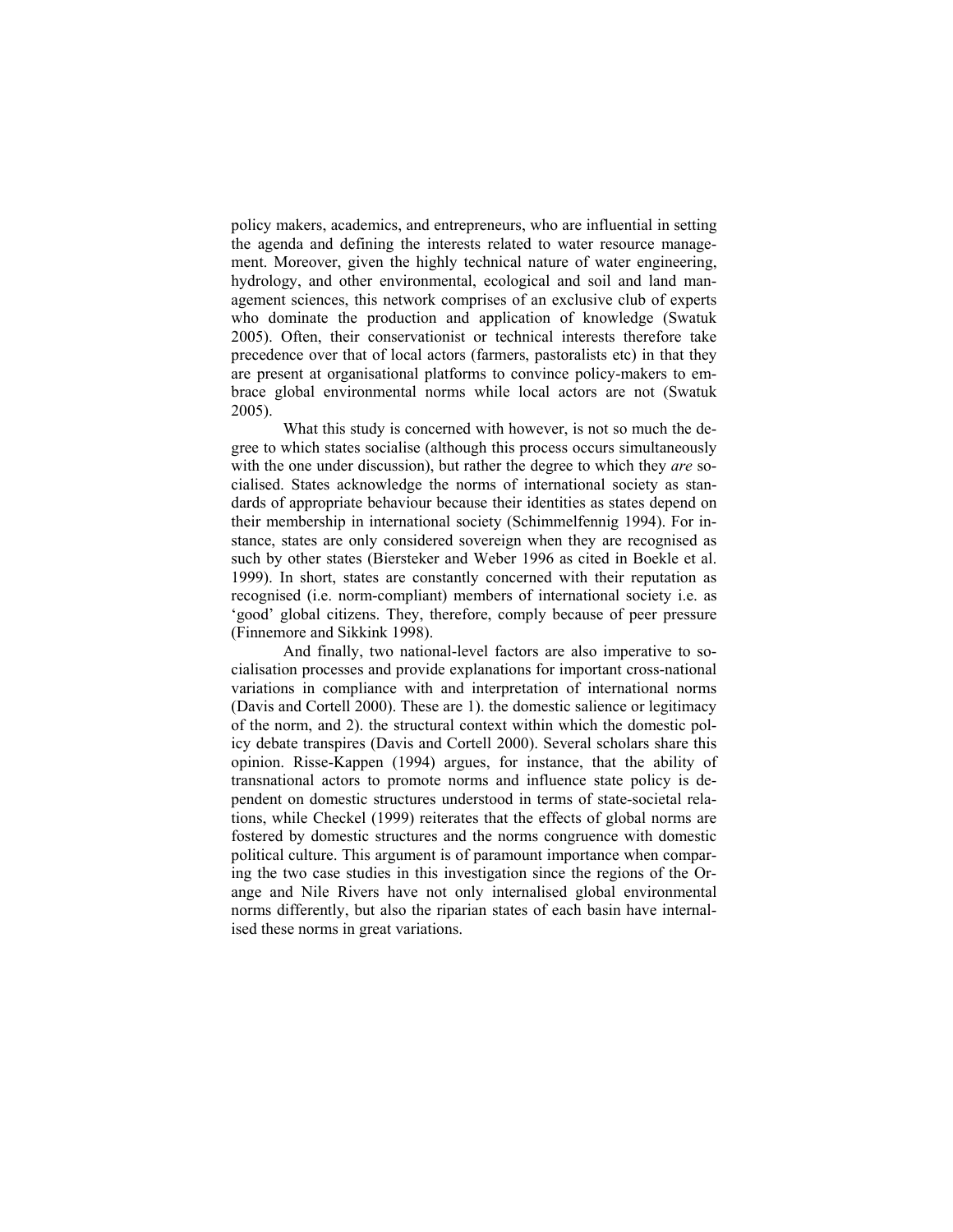policy makers, academics, and entrepreneurs, who are influential in setting the agenda and defining the interests related to water resource management. Moreover, given the highly technical nature of water engineering, hydrology, and other environmental, ecological and soil and land management sciences, this network comprises of an exclusive club of experts who dominate the production and application of knowledge (Swatuk 2005). Often, their conservationist or technical interests therefore take precedence over that of local actors (farmers, pastoralists etc) in that they are present at organisational platforms to convince policy-makers to embrace global environmental norms while local actors are not (Swatuk 2005).

 What this study is concerned with however, is not so much the degree to which states socialise (although this process occurs simultaneously with the one under discussion), but rather the degree to which they *are* socialised. States acknowledge the norms of international society as standards of appropriate behaviour because their identities as states depend on their membership in international society (Schimmelfennig 1994). For instance, states are only considered sovereign when they are recognised as such by other states (Biersteker and Weber 1996 as cited in Boekle et al. 1999). In short, states are constantly concerned with their reputation as recognised (i.e. norm-compliant) members of international society i.e. as 'good' global citizens. They, therefore, comply because of peer pressure (Finnemore and Sikkink 1998).

 And finally, two national-level factors are also imperative to socialisation processes and provide explanations for important cross-national variations in compliance with and interpretation of international norms (Davis and Cortell 2000). These are 1). the domestic salience or legitimacy of the norm, and 2). the structural context within which the domestic policy debate transpires (Davis and Cortell 2000). Several scholars share this opinion. Risse-Kappen (1994) argues, for instance, that the ability of transnational actors to promote norms and influence state policy is dependent on domestic structures understood in terms of state-societal relations, while Checkel (1999) reiterates that the effects of global norms are fostered by domestic structures and the norms congruence with domestic political culture. This argument is of paramount importance when comparing the two case studies in this investigation since the regions of the Orange and Nile Rivers have not only internalised global environmental norms differently, but also the riparian states of each basin have internalised these norms in great variations.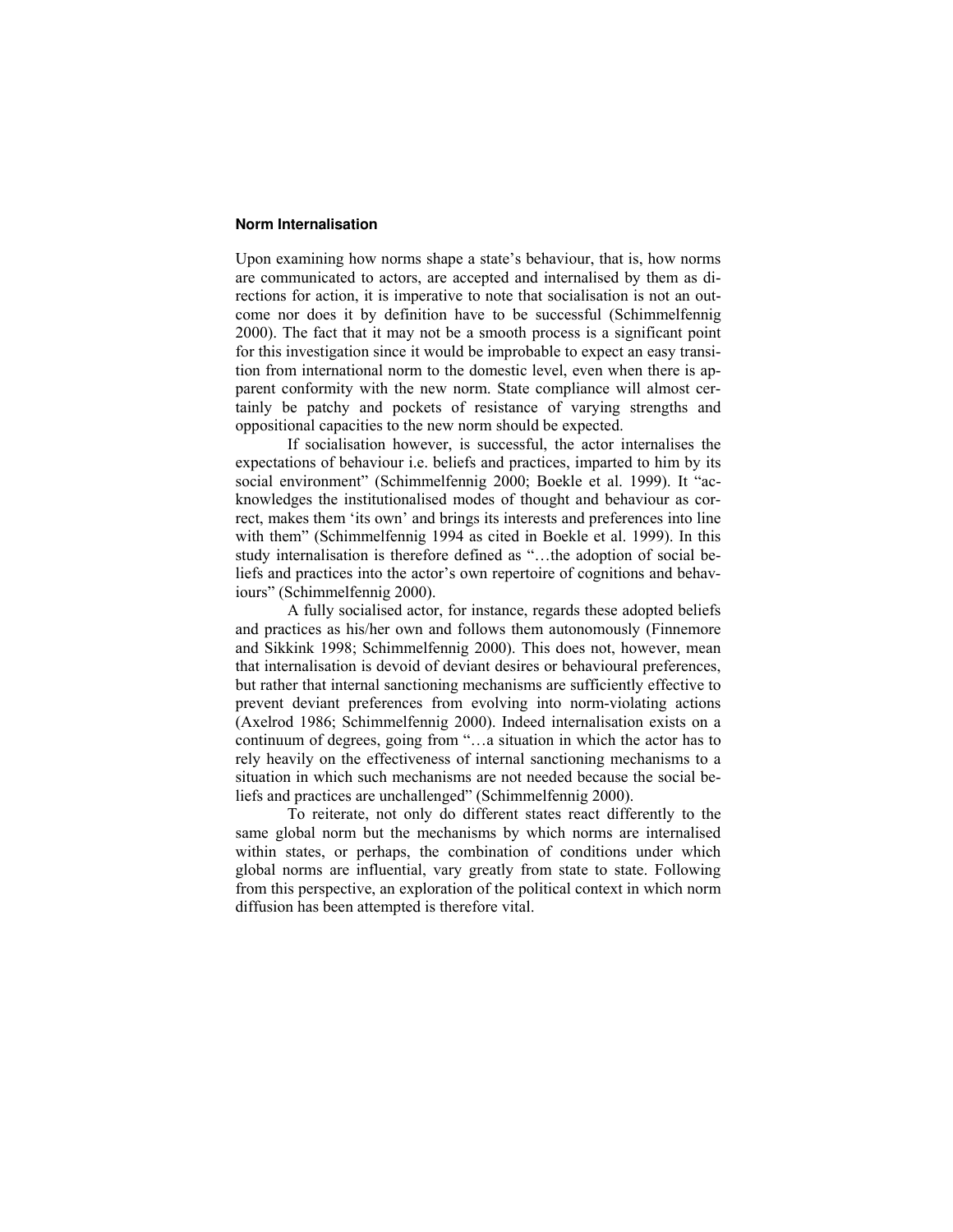#### **Norm Internalisation**

Upon examining how norms shape a state's behaviour, that is, how norms are communicated to actors, are accepted and internalised by them as directions for action, it is imperative to note that socialisation is not an outcome nor does it by definition have to be successful (Schimmelfennig 2000). The fact that it may not be a smooth process is a significant point for this investigation since it would be improbable to expect an easy transition from international norm to the domestic level, even when there is apparent conformity with the new norm. State compliance will almost certainly be patchy and pockets of resistance of varying strengths and oppositional capacities to the new norm should be expected.

 If socialisation however, is successful, the actor internalises the expectations of behaviour i.e. beliefs and practices, imparted to him by its social environment" (Schimmelfennig 2000; Boekle et al. 1999). It "acknowledges the institutionalised modes of thought and behaviour as correct, makes them 'its own' and brings its interests and preferences into line with them" (Schimmelfennig 1994 as cited in Boekle et al. 1999). In this study internalisation is therefore defined as "…the adoption of social beliefs and practices into the actor's own repertoire of cognitions and behaviours" (Schimmelfennig 2000).

 A fully socialised actor, for instance, regards these adopted beliefs and practices as his/her own and follows them autonomously (Finnemore and Sikkink 1998; Schimmelfennig 2000). This does not, however, mean that internalisation is devoid of deviant desires or behavioural preferences, but rather that internal sanctioning mechanisms are sufficiently effective to prevent deviant preferences from evolving into norm-violating actions (Axelrod 1986; Schimmelfennig 2000). Indeed internalisation exists on a continuum of degrees, going from "…a situation in which the actor has to rely heavily on the effectiveness of internal sanctioning mechanisms to a situation in which such mechanisms are not needed because the social beliefs and practices are unchallenged" (Schimmelfennig 2000).

 To reiterate, not only do different states react differently to the same global norm but the mechanisms by which norms are internalised within states, or perhaps, the combination of conditions under which global norms are influential, vary greatly from state to state. Following from this perspective, an exploration of the political context in which norm diffusion has been attempted is therefore vital.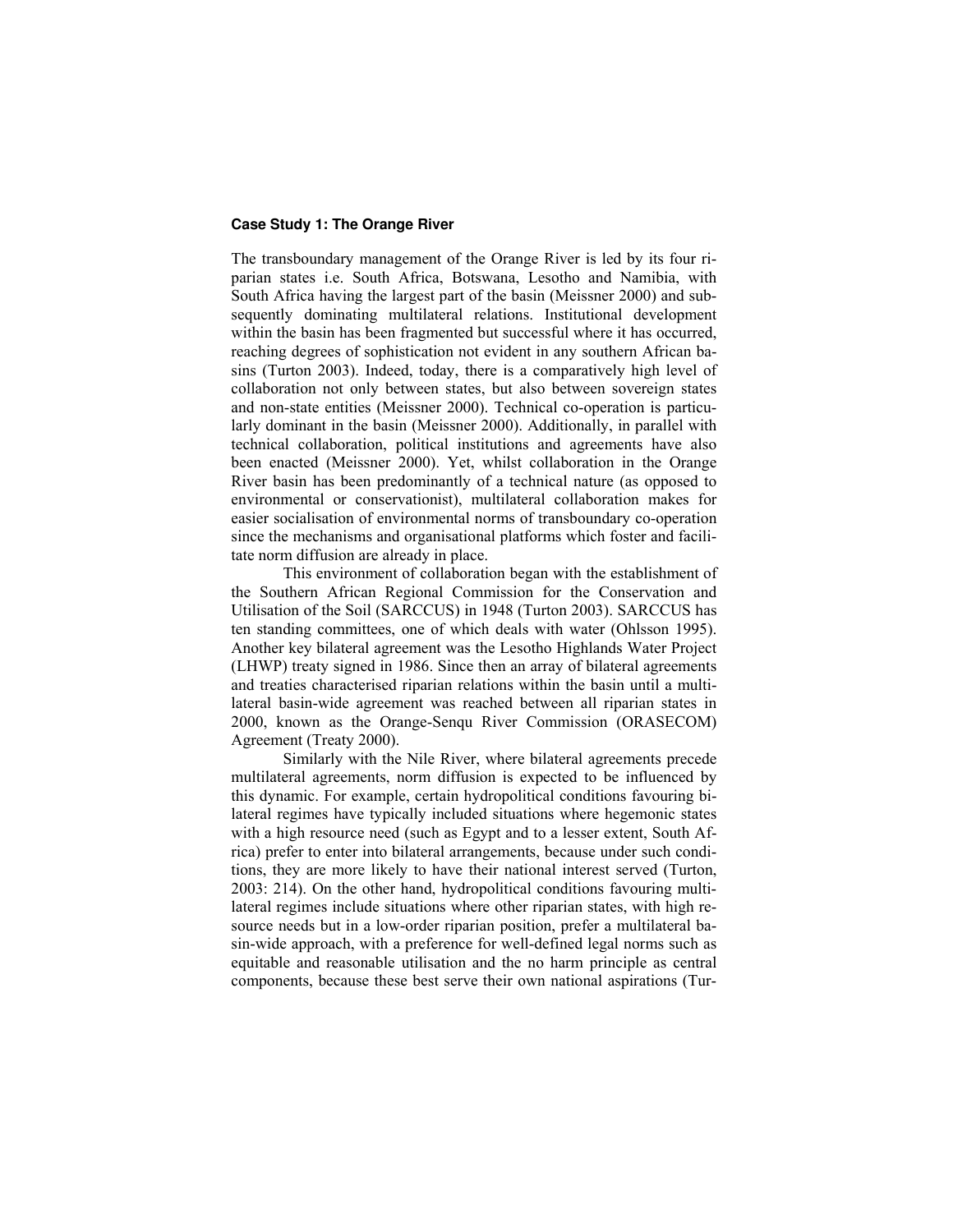#### **Case Study 1: The Orange River**

The transboundary management of the Orange River is led by its four riparian states i.e. South Africa, Botswana, Lesotho and Namibia, with South Africa having the largest part of the basin (Meissner 2000) and subsequently dominating multilateral relations. Institutional development within the basin has been fragmented but successful where it has occurred, reaching degrees of sophistication not evident in any southern African basins (Turton 2003). Indeed, today, there is a comparatively high level of collaboration not only between states, but also between sovereign states and non-state entities (Meissner 2000). Technical co-operation is particularly dominant in the basin (Meissner 2000). Additionally, in parallel with technical collaboration, political institutions and agreements have also been enacted (Meissner 2000). Yet, whilst collaboration in the Orange River basin has been predominantly of a technical nature (as opposed to environmental or conservationist), multilateral collaboration makes for easier socialisation of environmental norms of transboundary co-operation since the mechanisms and organisational platforms which foster and facilitate norm diffusion are already in place.

 This environment of collaboration began with the establishment of the Southern African Regional Commission for the Conservation and Utilisation of the Soil (SARCCUS) in 1948 (Turton 2003). SARCCUS has ten standing committees, one of which deals with water (Ohlsson 1995). Another key bilateral agreement was the Lesotho Highlands Water Project (LHWP) treaty signed in 1986. Since then an array of bilateral agreements and treaties characterised riparian relations within the basin until a multilateral basin-wide agreement was reached between all riparian states in 2000, known as the Orange-Senqu River Commission (ORASECOM) Agreement (Treaty 2000).

 Similarly with the Nile River, where bilateral agreements precede multilateral agreements, norm diffusion is expected to be influenced by this dynamic. For example, certain hydropolitical conditions favouring bilateral regimes have typically included situations where hegemonic states with a high resource need (such as Egypt and to a lesser extent, South Africa) prefer to enter into bilateral arrangements, because under such conditions, they are more likely to have their national interest served (Turton, 2003: 214). On the other hand, hydropolitical conditions favouring multilateral regimes include situations where other riparian states, with high resource needs but in a low-order riparian position, prefer a multilateral basin-wide approach, with a preference for well-defined legal norms such as equitable and reasonable utilisation and the no harm principle as central components, because these best serve their own national aspirations (Tur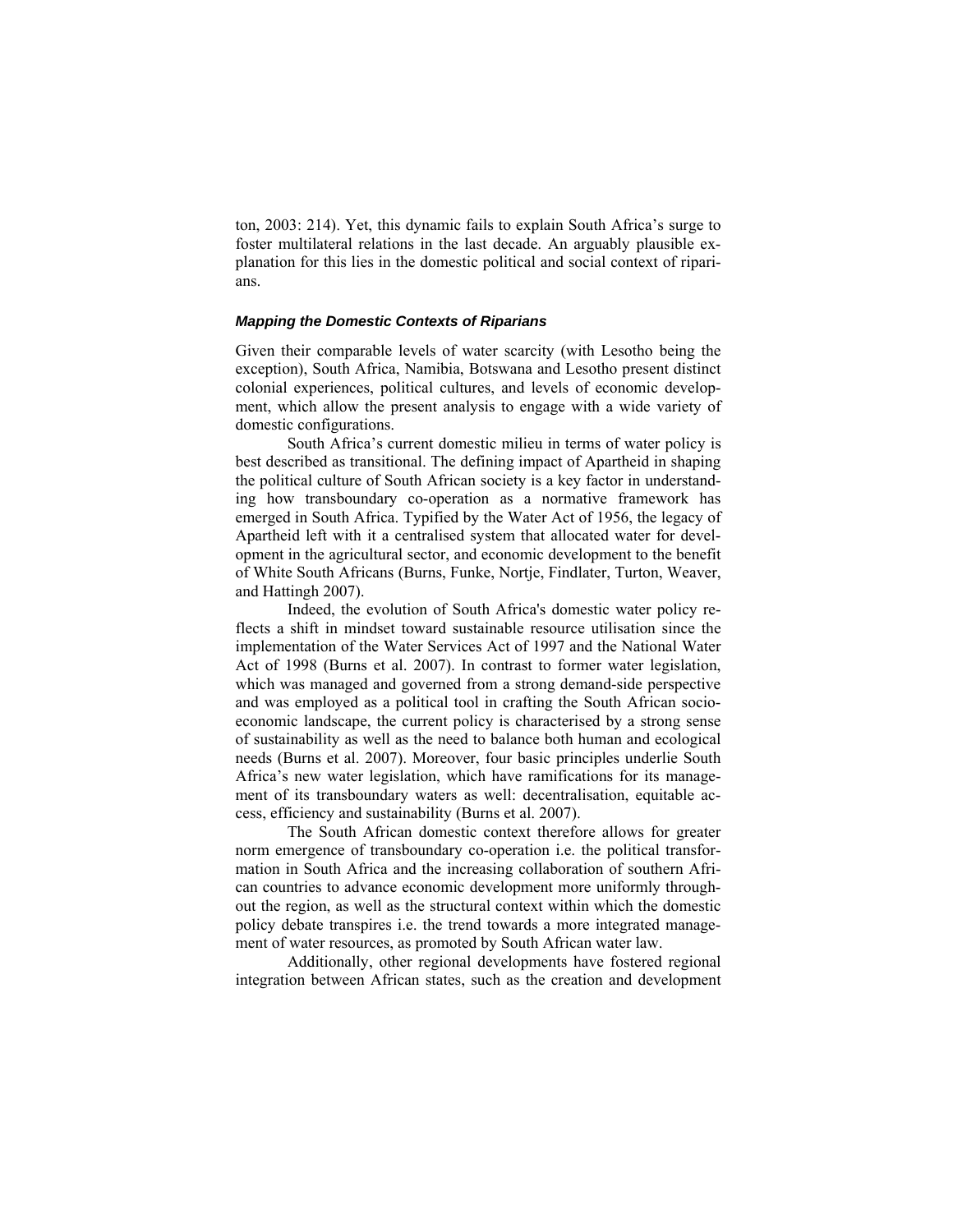ton, 2003: 214). Yet, this dynamic fails to explain South Africa's surge to foster multilateral relations in the last decade. An arguably plausible explanation for this lies in the domestic political and social context of riparians.

#### *Mapping the Domestic Contexts of Riparians*

Given their comparable levels of water scarcity (with Lesotho being the exception), South Africa, Namibia, Botswana and Lesotho present distinct colonial experiences, political cultures, and levels of economic development, which allow the present analysis to engage with a wide variety of domestic configurations.

 South Africa's current domestic milieu in terms of water policy is best described as transitional. The defining impact of Apartheid in shaping the political culture of South African society is a key factor in understanding how transboundary co-operation as a normative framework has emerged in South Africa. Typified by the Water Act of 1956, the legacy of Apartheid left with it a centralised system that allocated water for development in the agricultural sector, and economic development to the benefit of White South Africans (Burns, Funke, Nortje, Findlater, Turton, Weaver, and Hattingh 2007).

 Indeed, the evolution of South Africa's domestic water policy reflects a shift in mindset toward sustainable resource utilisation since the implementation of the Water Services Act of 1997 and the National Water Act of 1998 (Burns et al. 2007). In contrast to former water legislation, which was managed and governed from a strong demand-side perspective and was employed as a political tool in crafting the South African socioeconomic landscape, the current policy is characterised by a strong sense of sustainability as well as the need to balance both human and ecological needs (Burns et al. 2007). Moreover, four basic principles underlie South Africa's new water legislation, which have ramifications for its management of its transboundary waters as well: decentralisation, equitable access, efficiency and sustainability (Burns et al. 2007).

The South African domestic context therefore allows for greater norm emergence of transboundary co-operation i.e. the political transformation in South Africa and the increasing collaboration of southern African countries to advance economic development more uniformly throughout the region, as well as the structural context within which the domestic policy debate transpires i.e. the trend towards a more integrated management of water resources, as promoted by South African water law.

 Additionally, other regional developments have fostered regional integration between African states, such as the creation and development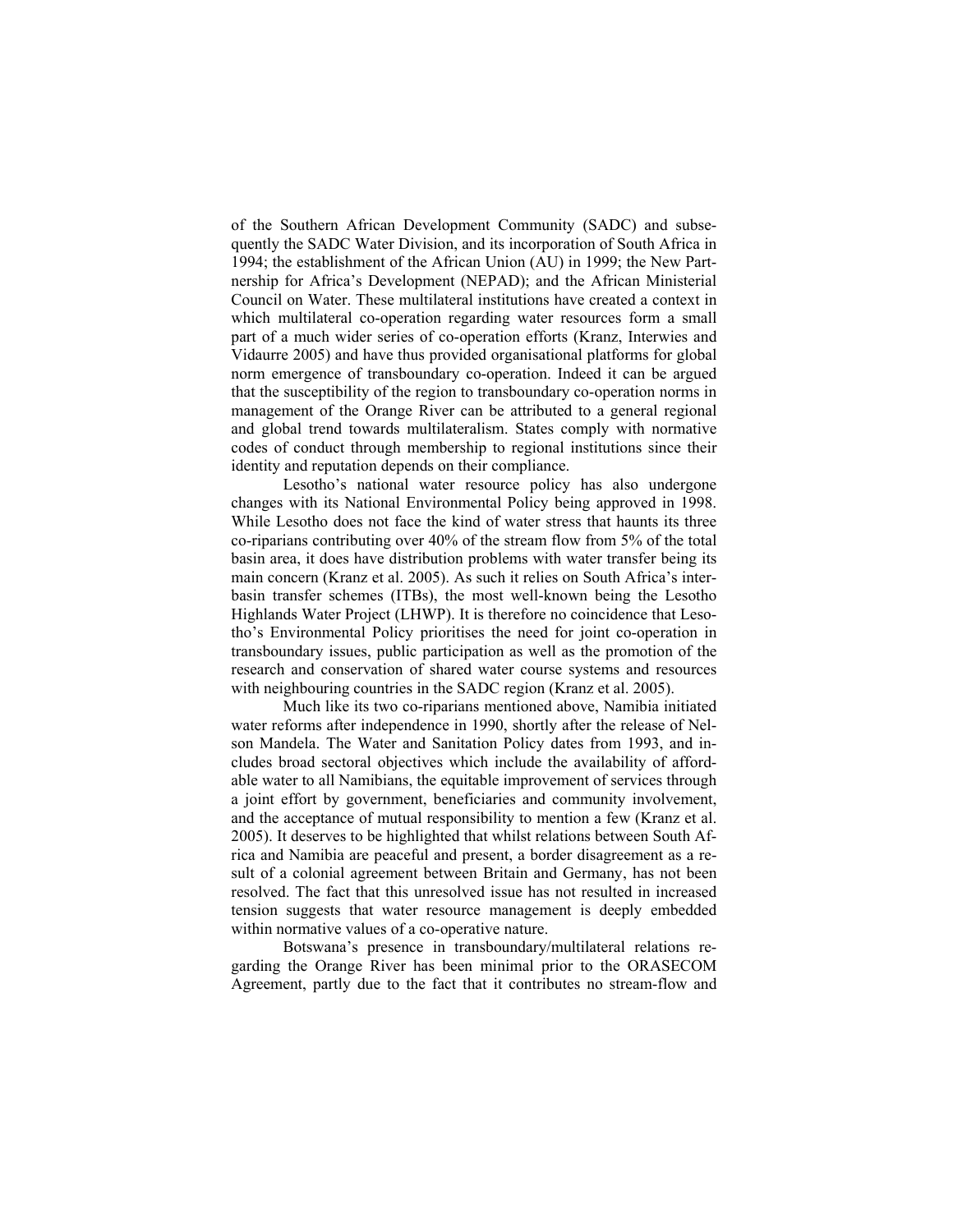of the Southern African Development Community (SADC) and subsequently the SADC Water Division, and its incorporation of South Africa in 1994; the establishment of the African Union (AU) in 1999; the New Partnership for Africa's Development (NEPAD); and the African Ministerial Council on Water. These multilateral institutions have created a context in which multilateral co-operation regarding water resources form a small part of a much wider series of co-operation efforts (Kranz, Interwies and Vidaurre 2005) and have thus provided organisational platforms for global norm emergence of transboundary co-operation. Indeed it can be argued that the susceptibility of the region to transboundary co-operation norms in management of the Orange River can be attributed to a general regional and global trend towards multilateralism. States comply with normative codes of conduct through membership to regional institutions since their identity and reputation depends on their compliance.

 Lesotho's national water resource policy has also undergone changes with its National Environmental Policy being approved in 1998. While Lesotho does not face the kind of water stress that haunts its three co-riparians contributing over 40% of the stream flow from 5% of the total basin area, it does have distribution problems with water transfer being its main concern (Kranz et al. 2005). As such it relies on South Africa's interbasin transfer schemes (ITBs), the most well-known being the Lesotho Highlands Water Project (LHWP). It is therefore no coincidence that Lesotho's Environmental Policy prioritises the need for joint co-operation in transboundary issues, public participation as well as the promotion of the research and conservation of shared water course systems and resources with neighbouring countries in the SADC region (Kranz et al. 2005).

Much like its two co-riparians mentioned above, Namibia initiated water reforms after independence in 1990, shortly after the release of Nelson Mandela. The Water and Sanitation Policy dates from 1993, and includes broad sectoral objectives which include the availability of affordable water to all Namibians, the equitable improvement of services through a joint effort by government, beneficiaries and community involvement, and the acceptance of mutual responsibility to mention a few (Kranz et al. 2005). It deserves to be highlighted that whilst relations between South Africa and Namibia are peaceful and present, a border disagreement as a result of a colonial agreement between Britain and Germany, has not been resolved. The fact that this unresolved issue has not resulted in increased tension suggests that water resource management is deeply embedded within normative values of a co-operative nature.

 Botswana's presence in transboundary/multilateral relations regarding the Orange River has been minimal prior to the ORASECOM Agreement, partly due to the fact that it contributes no stream-flow and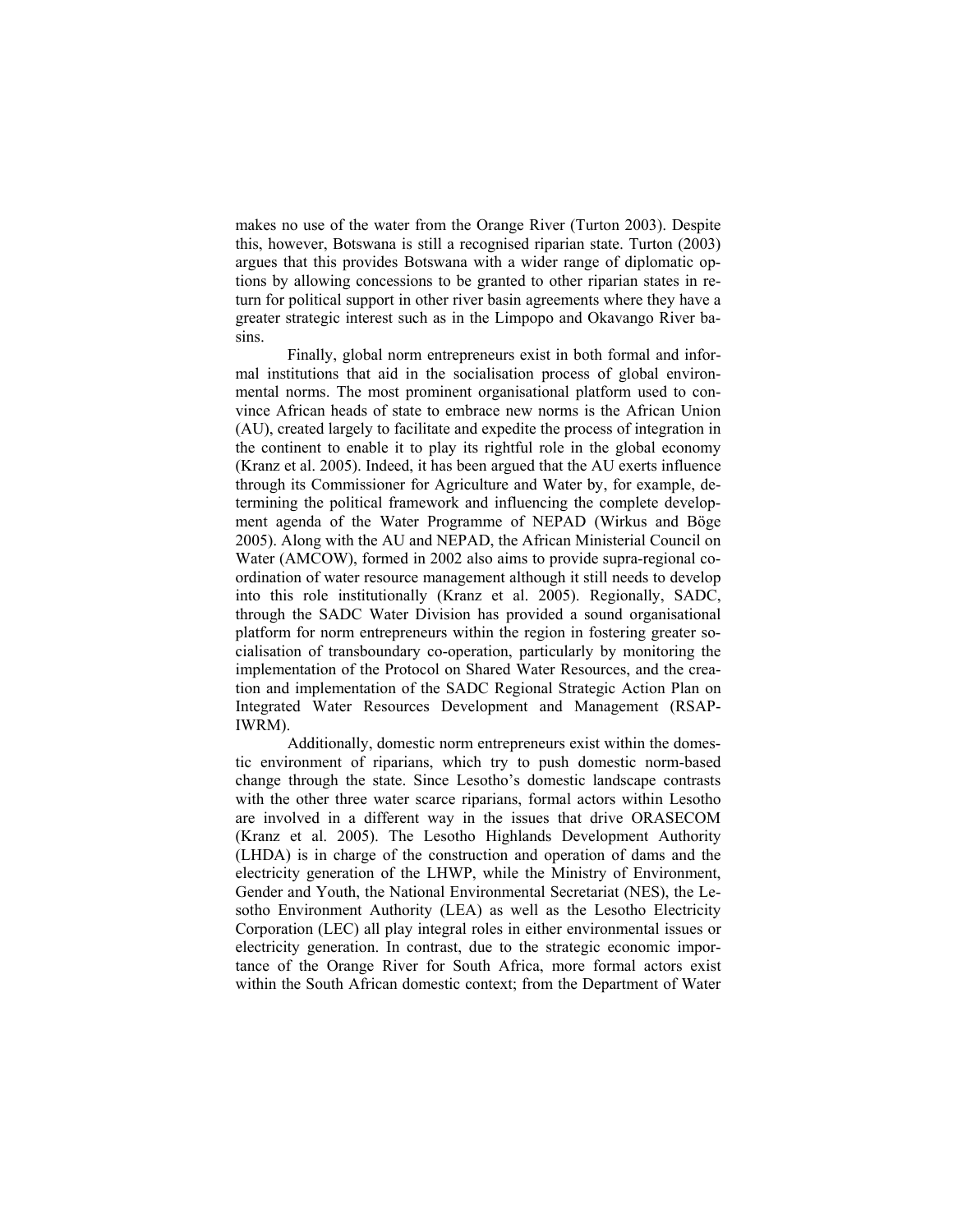makes no use of the water from the Orange River (Turton 2003). Despite this, however, Botswana is still a recognised riparian state. Turton (2003) argues that this provides Botswana with a wider range of diplomatic options by allowing concessions to be granted to other riparian states in return for political support in other river basin agreements where they have a greater strategic interest such as in the Limpopo and Okavango River basins.

Finally, global norm entrepreneurs exist in both formal and informal institutions that aid in the socialisation process of global environmental norms. The most prominent organisational platform used to convince African heads of state to embrace new norms is the African Union (AU), created largely to facilitate and expedite the process of integration in the continent to enable it to play its rightful role in the global economy (Kranz et al. 2005). Indeed, it has been argued that the AU exerts influence through its Commissioner for Agriculture and Water by, for example, determining the political framework and influencing the complete development agenda of the Water Programme of NEPAD (Wirkus and Böge 2005). Along with the AU and NEPAD, the African Ministerial Council on Water (AMCOW), formed in 2002 also aims to provide supra-regional coordination of water resource management although it still needs to develop into this role institutionally (Kranz et al. 2005). Regionally, SADC, through the SADC Water Division has provided a sound organisational platform for norm entrepreneurs within the region in fostering greater socialisation of transboundary co-operation, particularly by monitoring the implementation of the Protocol on Shared Water Resources, and the creation and implementation of the SADC Regional Strategic Action Plan on Integrated Water Resources Development and Management (RSAP-IWRM).

 Additionally, domestic norm entrepreneurs exist within the domestic environment of riparians, which try to push domestic norm-based change through the state. Since Lesotho's domestic landscape contrasts with the other three water scarce riparians, formal actors within Lesotho are involved in a different way in the issues that drive ORASECOM (Kranz et al. 2005). The Lesotho Highlands Development Authority (LHDA) is in charge of the construction and operation of dams and the electricity generation of the LHWP, while the Ministry of Environment, Gender and Youth, the National Environmental Secretariat (NES), the Lesotho Environment Authority (LEA) as well as the Lesotho Electricity Corporation (LEC) all play integral roles in either environmental issues or electricity generation. In contrast, due to the strategic economic importance of the Orange River for South Africa, more formal actors exist within the South African domestic context; from the Department of Water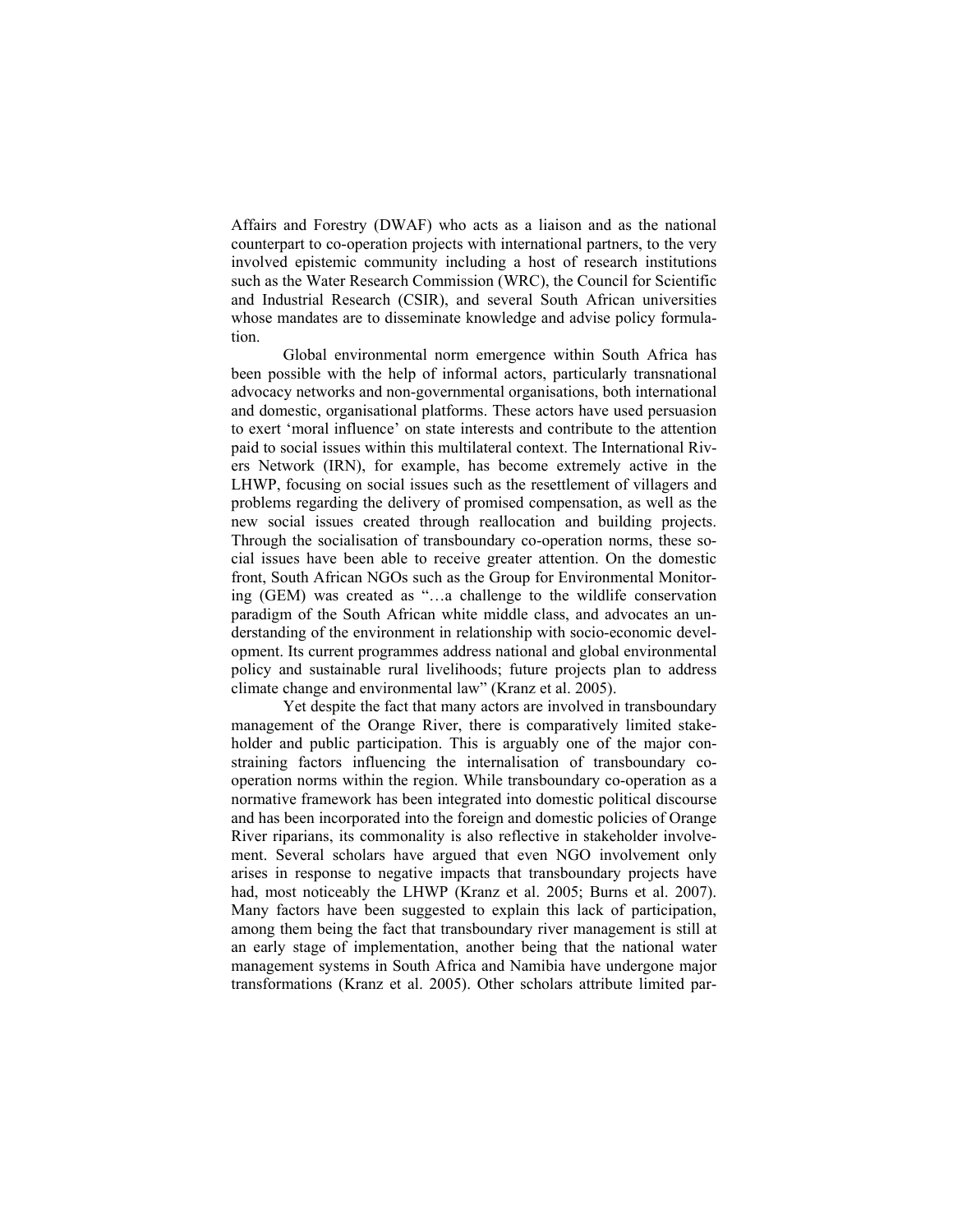Affairs and Forestry (DWAF) who acts as a liaison and as the national counterpart to co-operation projects with international partners, to the very involved epistemic community including a host of research institutions such as the Water Research Commission (WRC), the Council for Scientific and Industrial Research (CSIR), and several South African universities whose mandates are to disseminate knowledge and advise policy formulation.

 Global environmental norm emergence within South Africa has been possible with the help of informal actors, particularly transnational advocacy networks and non-governmental organisations, both international and domestic, organisational platforms. These actors have used persuasion to exert 'moral influence' on state interests and contribute to the attention paid to social issues within this multilateral context. The International Rivers Network (IRN), for example, has become extremely active in the LHWP, focusing on social issues such as the resettlement of villagers and problems regarding the delivery of promised compensation, as well as the new social issues created through reallocation and building projects. Through the socialisation of transboundary co-operation norms, these social issues have been able to receive greater attention. On the domestic front, South African NGOs such as the Group for Environmental Monitoring (GEM) was created as "…a challenge to the wildlife conservation paradigm of the South African white middle class, and advocates an understanding of the environment in relationship with socio-economic development. Its current programmes address national and global environmental policy and sustainable rural livelihoods; future projects plan to address climate change and environmental law" (Kranz et al. 2005).

 Yet despite the fact that many actors are involved in transboundary management of the Orange River, there is comparatively limited stakeholder and public participation. This is arguably one of the major constraining factors influencing the internalisation of transboundary cooperation norms within the region. While transboundary co-operation as a normative framework has been integrated into domestic political discourse and has been incorporated into the foreign and domestic policies of Orange River riparians, its commonality is also reflective in stakeholder involvement. Several scholars have argued that even NGO involvement only arises in response to negative impacts that transboundary projects have had, most noticeably the LHWP (Kranz et al. 2005; Burns et al. 2007). Many factors have been suggested to explain this lack of participation, among them being the fact that transboundary river management is still at an early stage of implementation, another being that the national water management systems in South Africa and Namibia have undergone major transformations (Kranz et al. 2005). Other scholars attribute limited par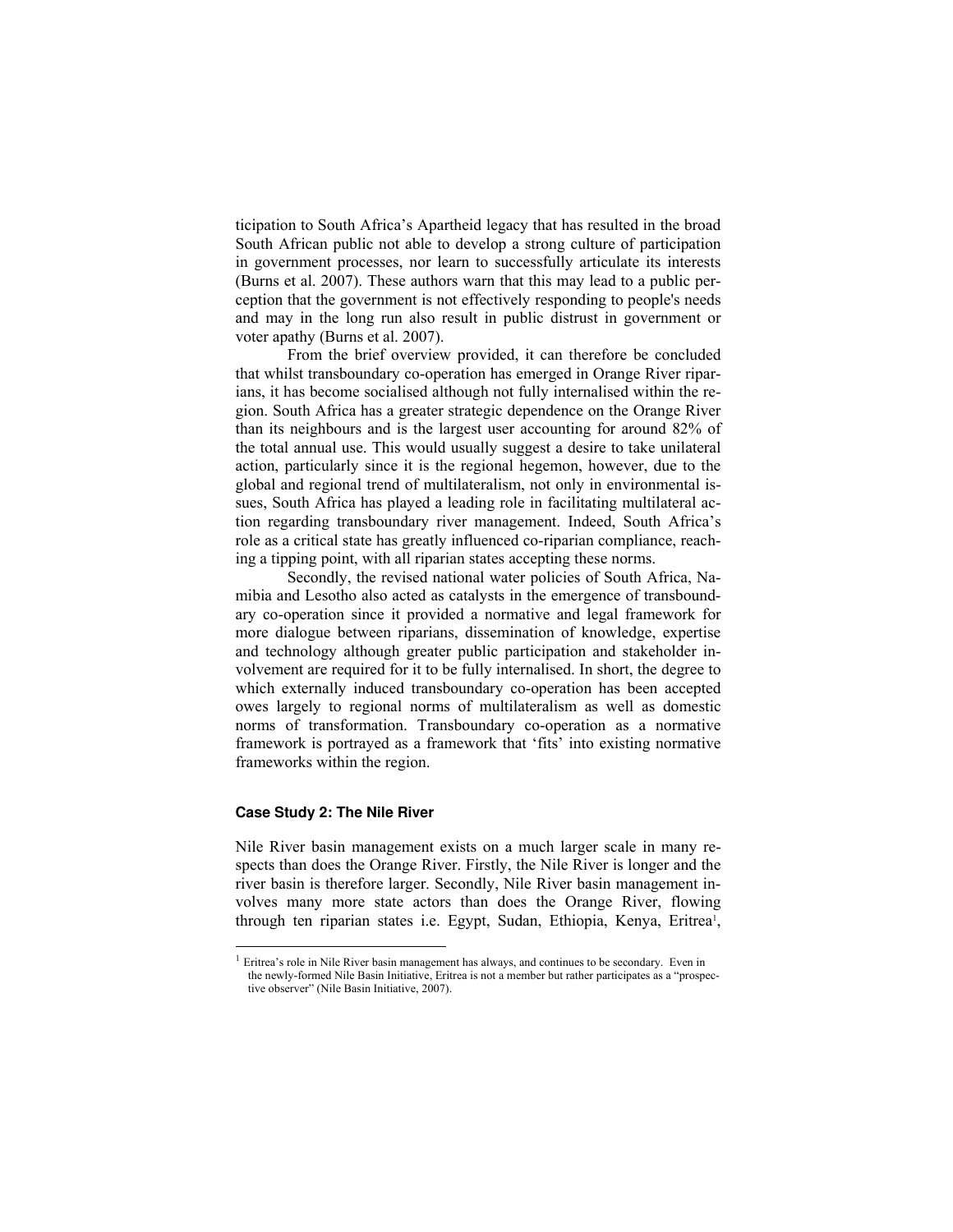ticipation to South Africa's Apartheid legacy that has resulted in the broad South African public not able to develop a strong culture of participation in government processes, nor learn to successfully articulate its interests (Burns et al. 2007). These authors warn that this may lead to a public perception that the government is not effectively responding to people's needs and may in the long run also result in public distrust in government or voter apathy (Burns et al. 2007).

From the brief overview provided, it can therefore be concluded that whilst transboundary co-operation has emerged in Orange River riparians, it has become socialised although not fully internalised within the region. South Africa has a greater strategic dependence on the Orange River than its neighbours and is the largest user accounting for around 82% of the total annual use. This would usually suggest a desire to take unilateral action, particularly since it is the regional hegemon, however, due to the global and regional trend of multilateralism, not only in environmental issues, South Africa has played a leading role in facilitating multilateral action regarding transboundary river management. Indeed, South Africa's role as a critical state has greatly influenced co-riparian compliance, reaching a tipping point, with all riparian states accepting these norms.

 Secondly, the revised national water policies of South Africa, Namibia and Lesotho also acted as catalysts in the emergence of transboundary co-operation since it provided a normative and legal framework for more dialogue between riparians, dissemination of knowledge, expertise and technology although greater public participation and stakeholder involvement are required for it to be fully internalised. In short, the degree to which externally induced transboundary co-operation has been accepted owes largely to regional norms of multilateralism as well as domestic norms of transformation. Transboundary co-operation as a normative framework is portrayed as a framework that 'fits' into existing normative frameworks within the region.

# **Case Study 2: The Nile River**

 $\overline{a}$ 

Nile River basin management exists on a much larger scale in many respects than does the Orange River. Firstly, the Nile River is longer and the river basin is therefore larger. Secondly, Nile River basin management involves many more state actors than does the Orange River, flowing through ten riparian states i.e. Egypt, Sudan, Ethiopia, Kenya, Eritrea<sup>1</sup>,

 $<sup>1</sup>$  Eritrea's role in Nile River basin management has always, and continues to be secondary. Even in</sup> the newly-formed Nile Basin Initiative, Eritrea is not a member but rather participates as a "prospective observer" (Nile Basin Initiative, 2007).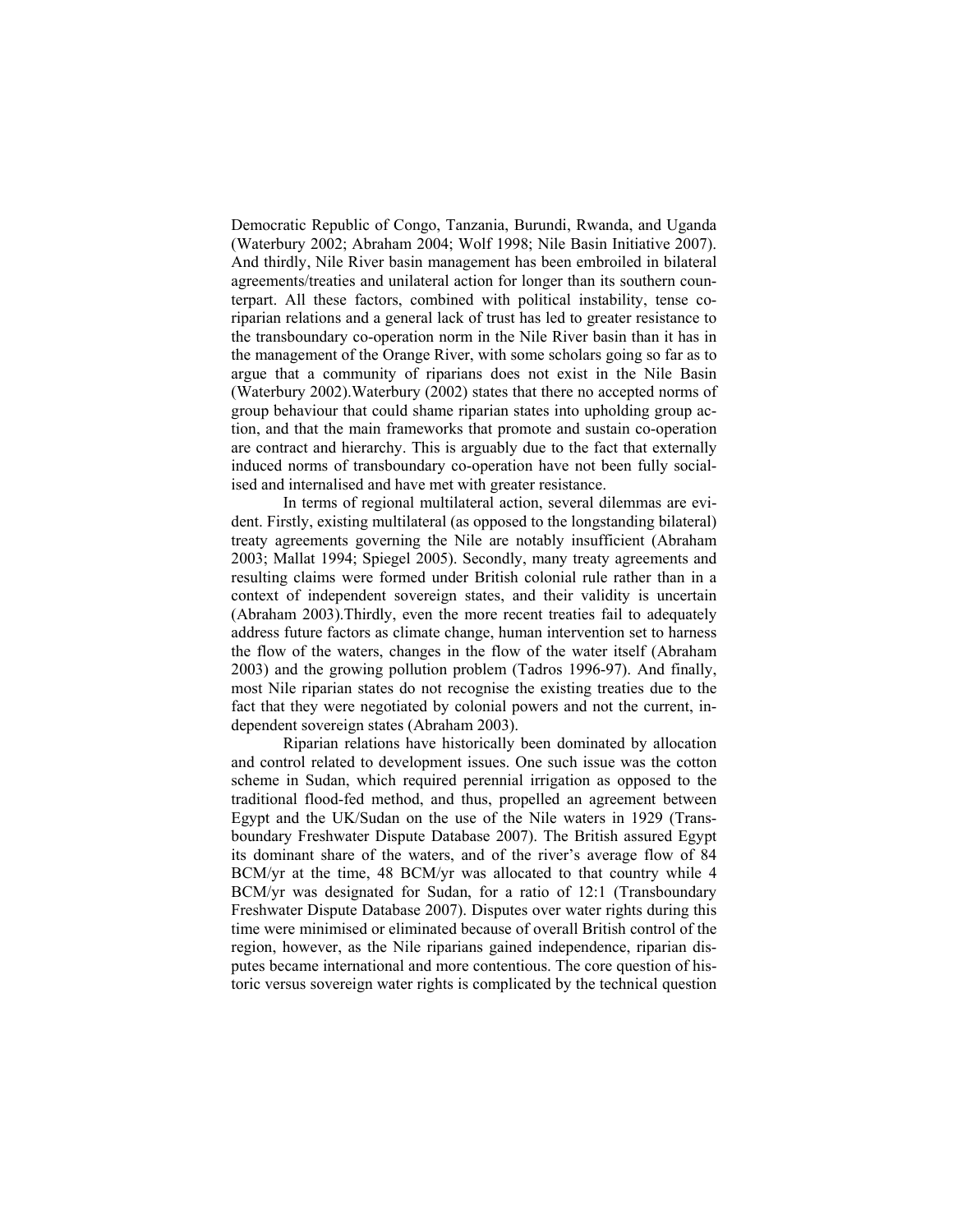Democratic Republic of Congo, Tanzania, Burundi, Rwanda, and Uganda (Waterbury 2002; Abraham 2004; Wolf 1998; Nile Basin Initiative 2007). And thirdly, Nile River basin management has been embroiled in bilateral agreements/treaties and unilateral action for longer than its southern counterpart. All these factors, combined with political instability, tense coriparian relations and a general lack of trust has led to greater resistance to the transboundary co-operation norm in the Nile River basin than it has in the management of the Orange River, with some scholars going so far as to argue that a community of riparians does not exist in the Nile Basin (Waterbury 2002).Waterbury (2002) states that there no accepted norms of group behaviour that could shame riparian states into upholding group action, and that the main frameworks that promote and sustain co-operation are contract and hierarchy. This is arguably due to the fact that externally induced norms of transboundary co-operation have not been fully socialised and internalised and have met with greater resistance.

 In terms of regional multilateral action, several dilemmas are evident. Firstly, existing multilateral (as opposed to the longstanding bilateral) treaty agreements governing the Nile are notably insufficient (Abraham 2003; Mallat 1994; Spiegel 2005). Secondly, many treaty agreements and resulting claims were formed under British colonial rule rather than in a context of independent sovereign states, and their validity is uncertain (Abraham 2003).Thirdly, even the more recent treaties fail to adequately address future factors as climate change, human intervention set to harness the flow of the waters, changes in the flow of the water itself (Abraham 2003) and the growing pollution problem (Tadros 1996-97). And finally, most Nile riparian states do not recognise the existing treaties due to the fact that they were negotiated by colonial powers and not the current, independent sovereign states (Abraham 2003).

 Riparian relations have historically been dominated by allocation and control related to development issues. One such issue was the cotton scheme in Sudan, which required perennial irrigation as opposed to the traditional flood-fed method, and thus, propelled an agreement between Egypt and the UK/Sudan on the use of the Nile waters in 1929 (Transboundary Freshwater Dispute Database 2007). The British assured Egypt its dominant share of the waters, and of the river's average flow of 84 BCM/yr at the time, 48 BCM/yr was allocated to that country while 4 BCM/yr was designated for Sudan, for a ratio of 12:1 (Transboundary Freshwater Dispute Database 2007). Disputes over water rights during this time were minimised or eliminated because of overall British control of the region, however, as the Nile riparians gained independence, riparian disputes became international and more contentious. The core question of historic versus sovereign water rights is complicated by the technical question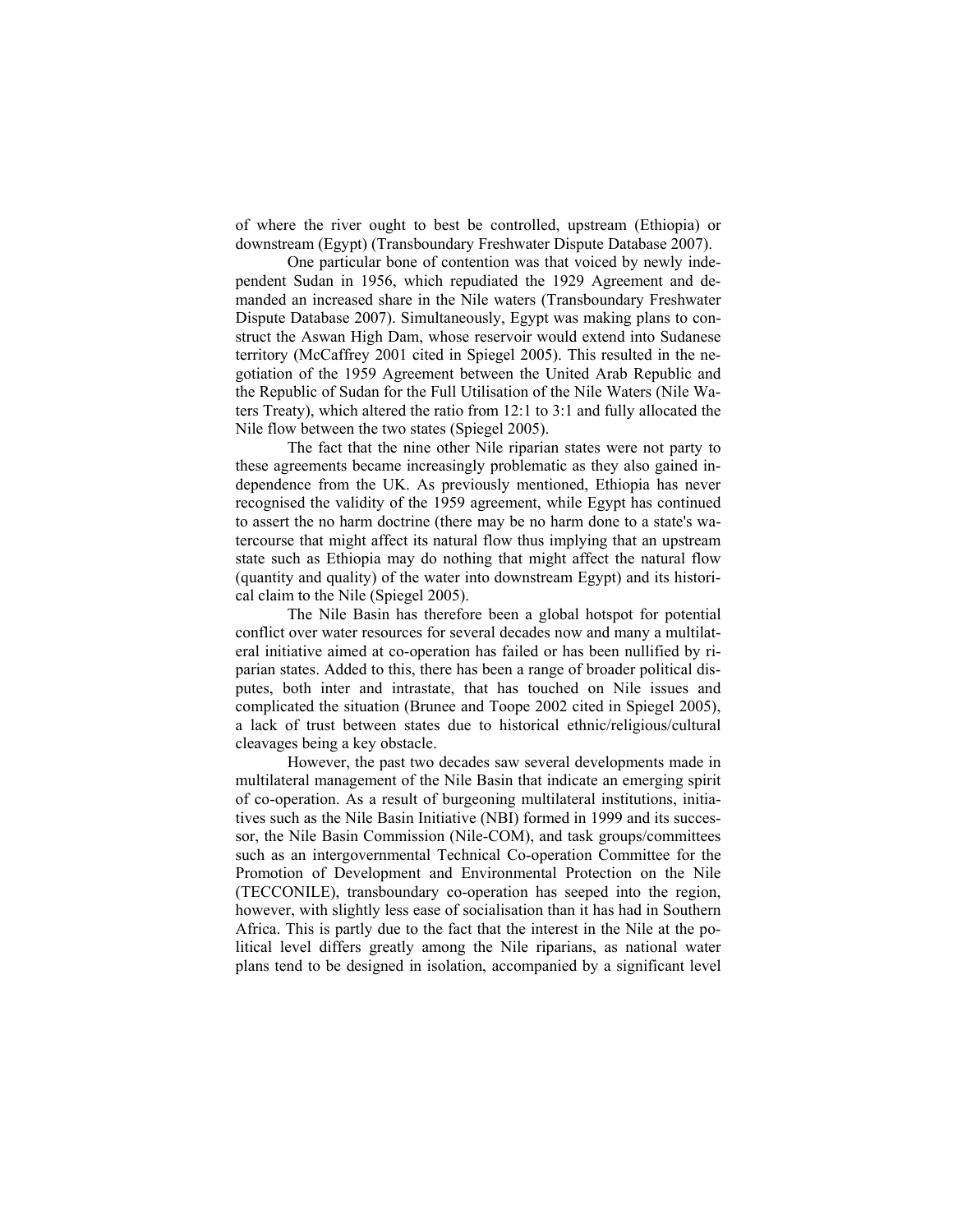of where the river ought to best be controlled, upstream (Ethiopia) or downstream (Egypt) (Transboundary Freshwater Dispute Database 2007).

 One particular bone of contention was that voiced by newly independent Sudan in 1956, which repudiated the 1929 Agreement and demanded an increased share in the Nile waters (Transboundary Freshwater Dispute Database 2007). Simultaneously, Egypt was making plans to construct the Aswan High Dam, whose reservoir would extend into Sudanese territory (McCaffrey 2001 cited in Spiegel 2005). This resulted in the negotiation of the 1959 Agreement between the United Arab Republic and the Republic of Sudan for the Full Utilisation of the Nile Waters (Nile Waters Treaty), which altered the ratio from 12:1 to 3:1 and fully allocated the Nile flow between the two states (Spiegel 2005).

 The fact that the nine other Nile riparian states were not party to these agreements became increasingly problematic as they also gained independence from the UK. As previously mentioned, Ethiopia has never recognised the validity of the 1959 agreement, while Egypt has continued to assert the no harm doctrine (there may be no harm done to a state's watercourse that might affect its natural flow thus implying that an upstream state such as Ethiopia may do nothing that might affect the natural flow (quantity and quality) of the water into downstream Egypt) and its historical claim to the Nile (Spiegel 2005).

 The Nile Basin has therefore been a global hotspot for potential conflict over water resources for several decades now and many a multilateral initiative aimed at co-operation has failed or has been nullified by riparian states. Added to this, there has been a range of broader political disputes, both inter and intrastate, that has touched on Nile issues and complicated the situation (Brunee and Toope 2002 cited in Spiegel 2005), a lack of trust between states due to historical ethnic/religious/cultural cleavages being a key obstacle.

 However, the past two decades saw several developments made in multilateral management of the Nile Basin that indicate an emerging spirit of co-operation. As a result of burgeoning multilateral institutions, initiatives such as the Nile Basin Initiative (NBI) formed in 1999 and its successor, the Nile Basin Commission (Nile-COM), and task groups/committees such as an intergovernmental Technical Co-operation Committee for the Promotion of Development and Environmental Protection on the Nile (TECCONILE), transboundary co-operation has seeped into the region, however, with slightly less ease of socialisation than it has had in Southern Africa. This is partly due to the fact that the interest in the Nile at the political level differs greatly among the Nile riparians, as national water plans tend to be designed in isolation, accompanied by a significant level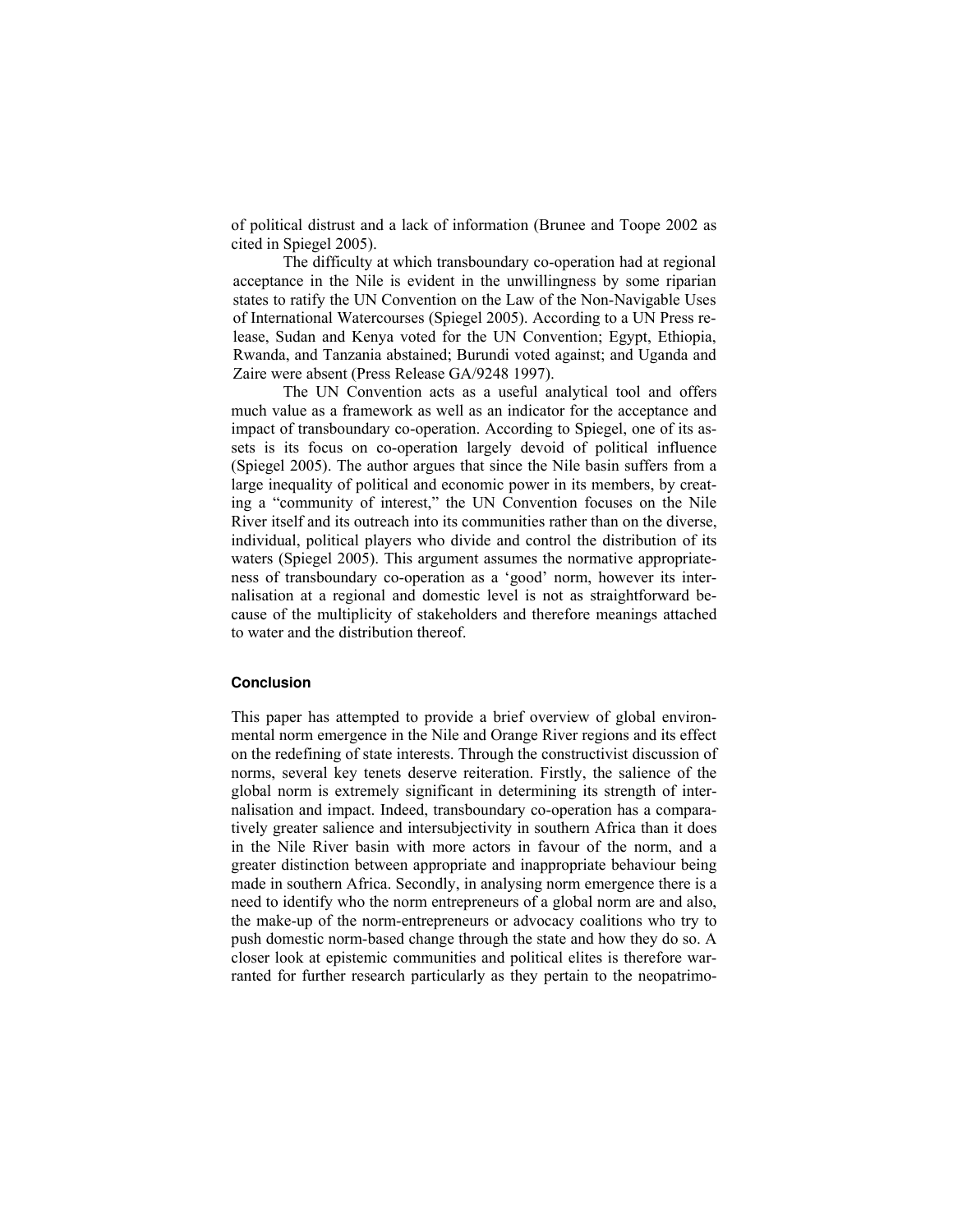of political distrust and a lack of information (Brunee and Toope 2002 as cited in Spiegel 2005).

 The difficulty at which transboundary co-operation had at regional acceptance in the Nile is evident in the unwillingness by some riparian states to ratify the UN Convention on the Law of the Non-Navigable Uses of International Watercourses (Spiegel 2005). According to a UN Press release, Sudan and Kenya voted for the UN Convention; Egypt, Ethiopia, Rwanda, and Tanzania abstained; Burundi voted against; and Uganda and Zaire were absent (Press Release GA/9248 1997).

 The UN Convention acts as a useful analytical tool and offers much value as a framework as well as an indicator for the acceptance and impact of transboundary co-operation. According to Spiegel, one of its assets is its focus on co-operation largely devoid of political influence (Spiegel 2005). The author argues that since the Nile basin suffers from a large inequality of political and economic power in its members, by creating a "community of interest," the UN Convention focuses on the Nile River itself and its outreach into its communities rather than on the diverse, individual, political players who divide and control the distribution of its waters (Spiegel 2005). This argument assumes the normative appropriateness of transboundary co-operation as a 'good' norm, however its internalisation at a regional and domestic level is not as straightforward because of the multiplicity of stakeholders and therefore meanings attached to water and the distribution thereof.

## **Conclusion**

This paper has attempted to provide a brief overview of global environmental norm emergence in the Nile and Orange River regions and its effect on the redefining of state interests. Through the constructivist discussion of norms, several key tenets deserve reiteration. Firstly, the salience of the global norm is extremely significant in determining its strength of internalisation and impact. Indeed, transboundary co-operation has a comparatively greater salience and intersubjectivity in southern Africa than it does in the Nile River basin with more actors in favour of the norm, and a greater distinction between appropriate and inappropriate behaviour being made in southern Africa. Secondly, in analysing norm emergence there is a need to identify who the norm entrepreneurs of a global norm are and also, the make-up of the norm-entrepreneurs or advocacy coalitions who try to push domestic norm-based change through the state and how they do so. A closer look at epistemic communities and political elites is therefore warranted for further research particularly as they pertain to the neopatrimo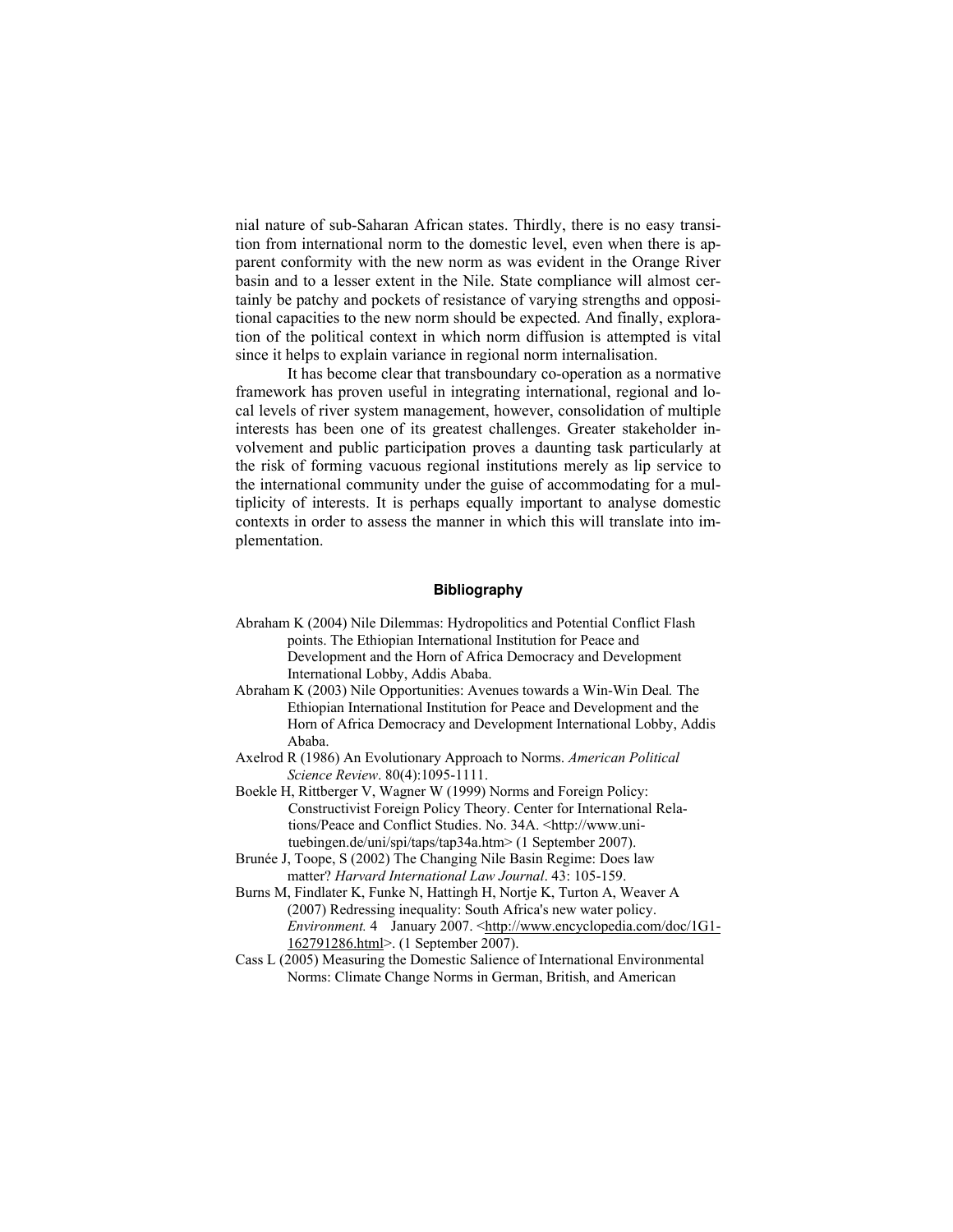nial nature of sub-Saharan African states. Thirdly, there is no easy transition from international norm to the domestic level, even when there is apparent conformity with the new norm as was evident in the Orange River basin and to a lesser extent in the Nile. State compliance will almost certainly be patchy and pockets of resistance of varying strengths and oppositional capacities to the new norm should be expected. And finally, exploration of the political context in which norm diffusion is attempted is vital since it helps to explain variance in regional norm internalisation.

 It has become clear that transboundary co-operation as a normative framework has proven useful in integrating international, regional and local levels of river system management, however, consolidation of multiple interests has been one of its greatest challenges. Greater stakeholder involvement and public participation proves a daunting task particularly at the risk of forming vacuous regional institutions merely as lip service to the international community under the guise of accommodating for a multiplicity of interests. It is perhaps equally important to analyse domestic contexts in order to assess the manner in which this will translate into implementation.

# **Bibliography**

- Abraham K (2004) Nile Dilemmas: Hydropolitics and Potential Conflict Flash points. The Ethiopian International Institution for Peace and Development and the Horn of Africa Democracy and Development International Lobby, Addis Ababa.
- Abraham K (2003) Nile Opportunities: Avenues towards a Win-Win Deal*.* The Ethiopian International Institution for Peace and Development and the Horn of Africa Democracy and Development International Lobby, Addis Ababa.
- Axelrod R (1986) An Evolutionary Approach to Norms. *American Political Science Review*. 80(4):1095-1111.
- Boekle H, Rittberger V, Wagner W (1999) Norms and Foreign Policy: Constructivist Foreign Policy Theory. Center for International Relations/Peace and Conflict Studies. No. 34A. <http://www.unituebingen.de/uni/spi/taps/tap34a.htm> (1 September 2007).
- Brunée J, Toope, S (2002) The Changing Nile Basin Regime: Does law matter? *Harvard International Law Journal*. 43: 105-159.
- Burns M, Findlater K, Funke N, Hattingh H, Nortje K, Turton A, Weaver A (2007) Redressing inequality: South Africa's new water policy. *Environment.* 4 January 2007. <http://www.encyclopedia.com/doc/1G1-162791286.html>. (1 September 2007).
- Cass L (2005) Measuring the Domestic Salience of International Environmental Norms: Climate Change Norms in German, British, and American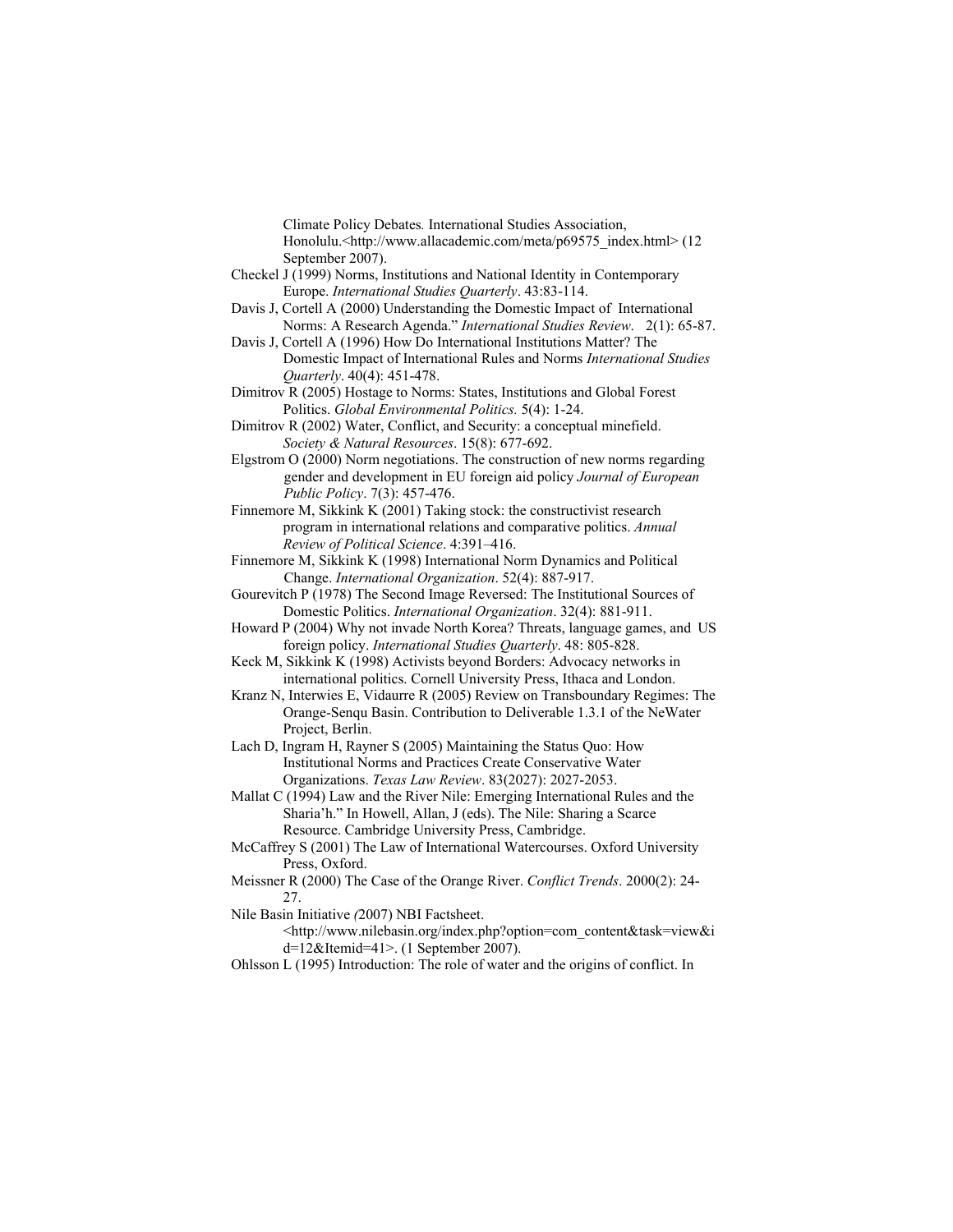Climate Policy Debates*.* International Studies Association, Honolulu.<http://www.allacademic.com/meta/p69575\_index.html> (12 September 2007).

- Checkel J (1999) Norms, Institutions and National Identity in Contemporary Europe. *International Studies Quarterly*. 43:83-114.
- Davis J, Cortell A (2000) Understanding the Domestic Impact of International Norms: A Research Agenda." *International Studies Review*. 2(1): 65-87.
- Davis J, Cortell A (1996) How Do International Institutions Matter? The Domestic Impact of International Rules and Norms *International Studies Quarterly*. 40(4): 451-478.
- Dimitrov R (2005) Hostage to Norms: States, Institutions and Global Forest Politics. *Global Environmental Politics.* 5(4): 1-24.
- Dimitrov R (2002) Water, Conflict, and Security: a conceptual minefield. *Society & Natural Resources*. 15(8): 677-692.
- Elgstrom O (2000) Norm negotiations. The construction of new norms regarding gender and development in EU foreign aid policy *Journal of European Public Policy*. 7(3): 457-476.
- Finnemore M, Sikkink K (2001) Taking stock: the constructivist research program in international relations and comparative politics. *Annual Review of Political Science*. 4:391–416.
- Finnemore M, Sikkink K (1998) International Norm Dynamics and Political Change. *International Organization*. 52(4): 887-917.
- Gourevitch P (1978) The Second Image Reversed: The Institutional Sources of Domestic Politics. *International Organization*. 32(4): 881-911.
- Howard P (2004) Why not invade North Korea? Threats, language games, and US foreign policy. *International Studies Quarterly*. 48: 805-828.
- Keck M, Sikkink K (1998) Activists beyond Borders: Advocacy networks in international politics. Cornell University Press, Ithaca and London.
- Kranz N, Interwies E, Vidaurre R (2005) Review on Transboundary Regimes: The Orange-Senqu Basin. Contribution to Deliverable 1.3.1 of the NeWater Project, Berlin.
- Lach D, Ingram H, Rayner S (2005) Maintaining the Status Quo: How Institutional Norms and Practices Create Conservative Water Organizations. *Texas Law Review*. 83(2027): 2027-2053.
- Mallat C (1994) Law and the River Nile: Emerging International Rules and the Sharia'h." In Howell, Allan, J (eds). The Nile: Sharing a Scarce Resource. Cambridge University Press, Cambridge.
- McCaffrey S (2001) The Law of International Watercourses. Oxford University Press, Oxford.
- Meissner R (2000) The Case of the Orange River. *Conflict Trends*. 2000(2): 24- 27.
- Nile Basin Initiative *(*2007) NBI Factsheet.
	- <http://www.nilebasin.org/index.php?option=com\_content&task=view&i d=12&Itemid=41>. (1 September 2007).
- Ohlsson L (1995) Introduction: The role of water and the origins of conflict. In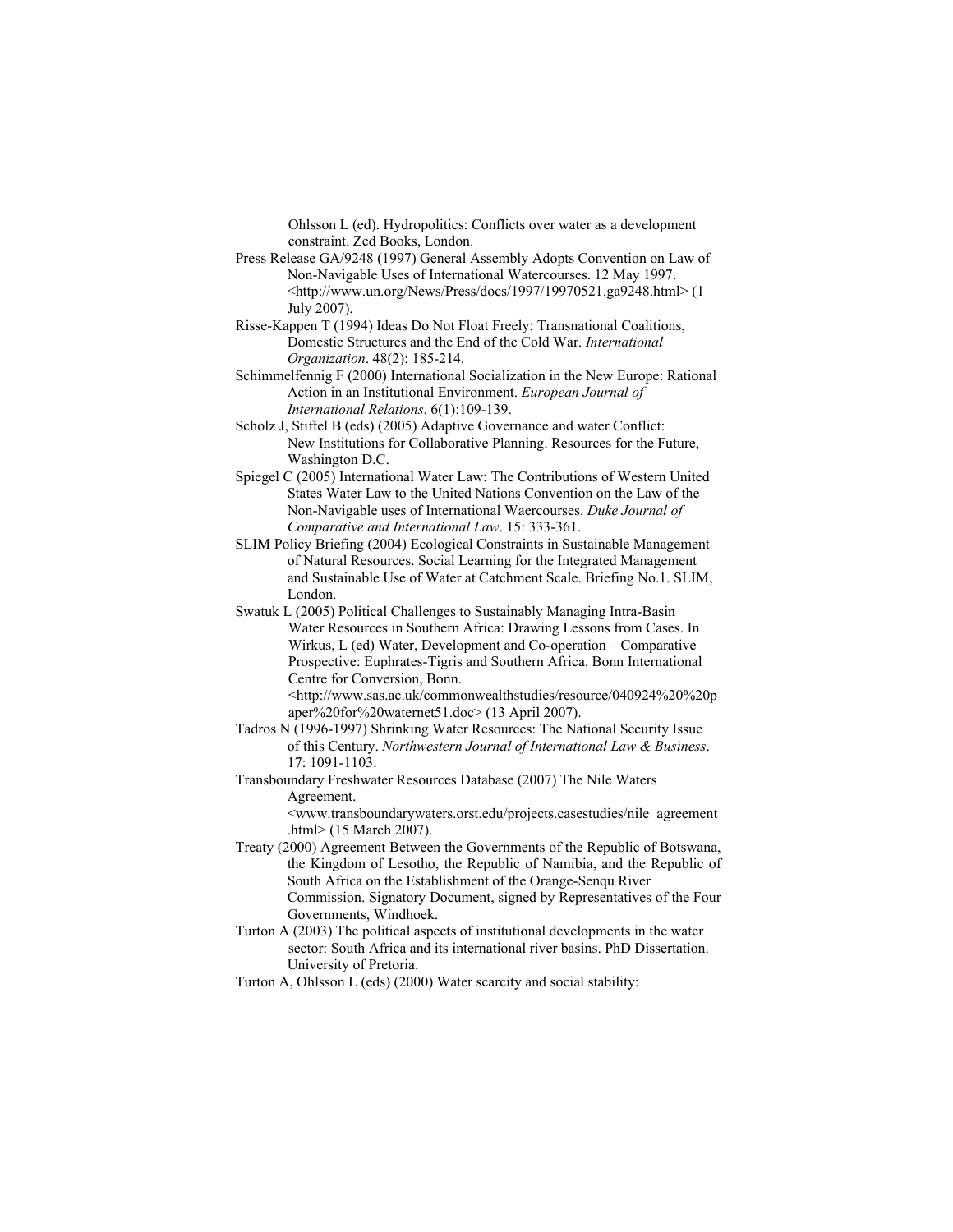Ohlsson L (ed). Hydropolitics: Conflicts over water as a development constraint. Zed Books, London.

- Press Release GA/9248 (1997) General Assembly Adopts Convention on Law of Non-Navigable Uses of International Watercourses. 12 May 1997. <http://www.un.org/News/Press/docs/1997/19970521.ga9248.html> (1 July 2007).
- Risse-Kappen T (1994) Ideas Do Not Float Freely: Transnational Coalitions, Domestic Structures and the End of the Cold War. *International Organization*. 48(2): 185-214.
- Schimmelfennig F (2000) International Socialization in the New Europe: Rational Action in an Institutional Environment. *European Journal of International Relations*. 6(1):109-139.
- Scholz J, Stiftel B (eds) (2005) Adaptive Governance and water Conflict: New Institutions for Collaborative Planning. Resources for the Future, Washington D.C.
- Spiegel C (2005) International Water Law: The Contributions of Western United States Water Law to the United Nations Convention on the Law of the Non-Navigable uses of International Waercourses. *Duke Journal of Comparative and International Law*. 15: 333-361.
- SLIM Policy Briefing (2004) Ecological Constraints in Sustainable Management of Natural Resources. Social Learning for the Integrated Management and Sustainable Use of Water at Catchment Scale. Briefing No.1. SLIM, London.
- Swatuk L (2005) Political Challenges to Sustainably Managing Intra-Basin Water Resources in Southern Africa: Drawing Lessons from Cases. In Wirkus, L (ed) Water, Development and Co-operation – Comparative Prospective: Euphrates-Tigris and Southern Africa. Bonn International Centre for Conversion, Bonn.

<http://www.sas.ac.uk/commonwealthstudies/resource/040924%20%20p aper%20for%20waternet51.doc> (13 April 2007).

- Tadros N (1996-1997) Shrinking Water Resources: The National Security Issue of this Century. *Northwestern Journal of International Law & Business*. 17: 1091-1103.
- Transboundary Freshwater Resources Database (2007) The Nile Waters Agreement.

 <www.transboundarywaters.orst.edu/projects.casestudies/nile\_agreement .html> (15 March 2007).

- Treaty (2000) Agreement Between the Governments of the Republic of Botswana, the Kingdom of Lesotho, the Republic of Namibia, and the Republic of South Africa on the Establishment of the Orange-Senqu River Commission. Signatory Document, signed by Representatives of the Four Governments, Windhoek.
- Turton A (2003) The political aspects of institutional developments in the water sector: South Africa and its international river basins. PhD Dissertation. University of Pretoria.
- Turton A, Ohlsson L (eds) (2000) Water scarcity and social stability: